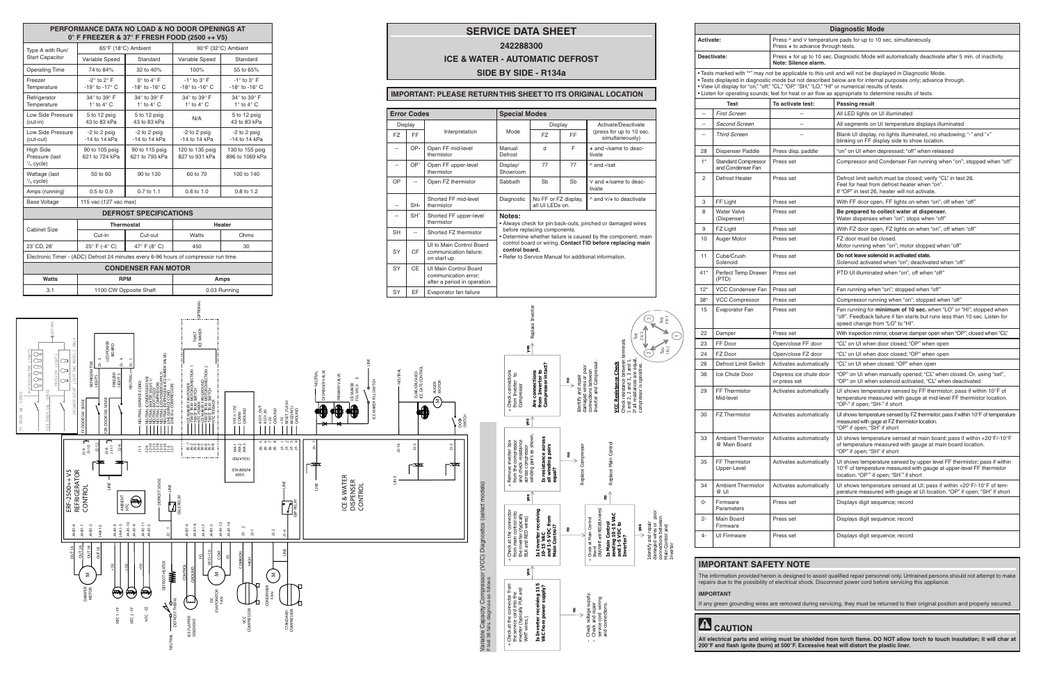**All electrical parts and wiring must be shielded from torch flame. DO NOT allow torch to touch insulation; it will char at 200°F and flash ignite (burn) at 500°F. Excessive heat will distort the plastic liner.**

| <b>Diagnostic Mode</b> |                                                 |                                                                                                                             |                                                                                                                                                                                                                                                                                                                                                                                                                                       |  |  |  |  |  |  |  |
|------------------------|-------------------------------------------------|-----------------------------------------------------------------------------------------------------------------------------|---------------------------------------------------------------------------------------------------------------------------------------------------------------------------------------------------------------------------------------------------------------------------------------------------------------------------------------------------------------------------------------------------------------------------------------|--|--|--|--|--|--|--|
| <b>Activate:</b>       |                                                 | Press $\wedge$ and V temperature pads for up to 10 sec. simultaneously.<br>Press + to advance through tests.                |                                                                                                                                                                                                                                                                                                                                                                                                                                       |  |  |  |  |  |  |  |
| Deactivate:            |                                                 | Press + for up to 10 sec. Diagnostic Mode will automatically deactivate after 5 min. of inactivity.<br>Note: Silence alarm. |                                                                                                                                                                                                                                                                                                                                                                                                                                       |  |  |  |  |  |  |  |
|                        |                                                 |                                                                                                                             | . Tests marked with "*" may not be applicable to this unit and will not be displayed in Diagnostic Mode.<br>· Tests displayed in diagnostic mode but not described below are for internal purposes only; advance through.<br>• View UI display for "on," "off," "CL," "OP," "SH," "LO," "HI" or numerical results of tests.<br>• Listen for operating sounds; feel for heat or air flow as appropriate to determine results of tests. |  |  |  |  |  |  |  |
|                        | <b>Test</b>                                     | To activate test:                                                                                                           | <b>Passing result</b>                                                                                                                                                                                                                                                                                                                                                                                                                 |  |  |  |  |  |  |  |
| $\overline{a}$         | <b>First Screen</b>                             | $\sim$                                                                                                                      | All LED lights on UI illuminated                                                                                                                                                                                                                                                                                                                                                                                                      |  |  |  |  |  |  |  |
| $\overline{a}$         | Second Screen                                   | $\overline{a}$                                                                                                              | All segments on UI temperature displays illuminated                                                                                                                                                                                                                                                                                                                                                                                   |  |  |  |  |  |  |  |
| $\overline{a}$         | <b>Third Screen</b>                             | $\sim$                                                                                                                      | Blank UI display, no lights illuminated, no shadowing; "-" and "+"<br>blinking on FF display side to show location.                                                                                                                                                                                                                                                                                                                   |  |  |  |  |  |  |  |
| 28                     | Dispenser Paddle                                | Press disp. paddle                                                                                                          | "on" on UI when depressed; "off" when released                                                                                                                                                                                                                                                                                                                                                                                        |  |  |  |  |  |  |  |
| $1^*$                  | <b>Standard Compressor</b><br>and Condenser Fan | Press set                                                                                                                   | Compressor and Condenser Fan running when "on"; stopped when "off"                                                                                                                                                                                                                                                                                                                                                                    |  |  |  |  |  |  |  |
| 2                      | Defrost Heater                                  | Press set                                                                                                                   | Defrost limit switch must be closed; verify "CL" in test 26.<br>Feel for heat from defrost heater when "on".<br>If "OP" in test 26, heater will not activate.                                                                                                                                                                                                                                                                         |  |  |  |  |  |  |  |
| 3                      | FF Light                                        | Press set                                                                                                                   | With FF door open, FF lights on when "on"; off when "off"                                                                                                                                                                                                                                                                                                                                                                             |  |  |  |  |  |  |  |
| 8                      | <b>Water Valve</b><br>(Dispenser)               | Press set                                                                                                                   | Be prepared to collect water at dispenser.<br>Water dispenses when "on"; stops when "off"                                                                                                                                                                                                                                                                                                                                             |  |  |  |  |  |  |  |
| 9                      | FZ Light                                        | Press set                                                                                                                   | With FZ door open, FZ lights on when "on", off when "off"                                                                                                                                                                                                                                                                                                                                                                             |  |  |  |  |  |  |  |
| 10                     | Auger Motor                                     | Press set                                                                                                                   | FZ door must be closed.<br>Motor running when "on"; motor stopped when "off"                                                                                                                                                                                                                                                                                                                                                          |  |  |  |  |  |  |  |
| 11                     | Cube/Crush<br>Solenoid                          | Press set                                                                                                                   | Do not leave solenoid in activated state.<br>Solenoid activated when "on"; deactivated when "off"                                                                                                                                                                                                                                                                                                                                     |  |  |  |  |  |  |  |
| $41*$                  | Perfect Temp Drawer<br>(PTD)                    | Press set                                                                                                                   | PTD UI illuminated when "on", off when "off"                                                                                                                                                                                                                                                                                                                                                                                          |  |  |  |  |  |  |  |
| $12*$                  | VCC Condenser Fan                               | Press set                                                                                                                   | Fan running when "on"; stopped when "off"                                                                                                                                                                                                                                                                                                                                                                                             |  |  |  |  |  |  |  |
| $38*$                  | <b>VCC Compressor</b>                           | Press set                                                                                                                   | Compressor running when "on"; stopped when "off"                                                                                                                                                                                                                                                                                                                                                                                      |  |  |  |  |  |  |  |
| 15                     | Evaporator Fan                                  | Press set                                                                                                                   | Fan running for minimum of 10 sec. when "LO" or "HI"; stopped when<br>"off". Feedback failure if fan starts but runs less than 10 sec. Listen for<br>speed change from "LO" to "HI".                                                                                                                                                                                                                                                  |  |  |  |  |  |  |  |
| 22                     | Damper                                          | Press set                                                                                                                   | With inspection mirror, observe damper open when "OP"; closed when "CL"                                                                                                                                                                                                                                                                                                                                                               |  |  |  |  |  |  |  |
| 23                     | FF Door                                         | Open/close FF door                                                                                                          | "CL" on UI when door closed; "OP" when open                                                                                                                                                                                                                                                                                                                                                                                           |  |  |  |  |  |  |  |
| 24                     | FZ Door                                         | Open/close FZ door                                                                                                          | "CL" on UI when door closed; "OP" when open                                                                                                                                                                                                                                                                                                                                                                                           |  |  |  |  |  |  |  |
| 26                     | Defrost Limit Switch                            | Activates automatically                                                                                                     | "CL" on UI when closed; "OP" when open                                                                                                                                                                                                                                                                                                                                                                                                |  |  |  |  |  |  |  |
| 36                     | Ice Chute Door                                  | Depress ice chute door<br>or press set                                                                                      | "OP" on UI when manually opened; "CL" when closed. Or, using "set",<br>"OP" on UI when solenoid activated, "CL" when deactivated                                                                                                                                                                                                                                                                                                      |  |  |  |  |  |  |  |
| 29                     | FF Thermistor<br>Mid-level                      | Activates automatically                                                                                                     | UI shows temperature sensed by FF thermistor; pass if within 10°F of<br>temperature measured with gauge at mid-level FF thermistor location.<br>"OP-" if open; "SH-" if short                                                                                                                                                                                                                                                         |  |  |  |  |  |  |  |
| 30                     | <b>FZ Thermistor</b>                            | Activates automatically                                                                                                     | UI shows temperature sensed by FZ thermistor; pass if within 10°F of temperature<br>measured with gage at FZ thermistor location.<br>"OP" if open; "SH" if short                                                                                                                                                                                                                                                                      |  |  |  |  |  |  |  |
| 33                     | <b>Ambient Thermistor</b><br>@ Main Board       | Activates automatically                                                                                                     | UI shows temperature sensed at main board; pass if within $+20^{\circ}F/-10^{\circ}F$<br>of temperature measured with gauge at main board location.<br>"OP" if open; "SH" if short                                                                                                                                                                                                                                                    |  |  |  |  |  |  |  |
| 35                     | FF Thermistor<br>Upper-Level                    | Activates automatically                                                                                                     | UI shows temperature sensed by upper level FF thermistor; pass if within<br>10°F of temperature measured with gauge at upper-level FF thermistor<br>location. "OP"" if open; "SH"" if short                                                                                                                                                                                                                                           |  |  |  |  |  |  |  |
| 34                     | <b>Ambient Thermistor</b><br>@ UI               | Activates automatically                                                                                                     | UI shows temperature sensed at UI; pass if within $+20^{\circ}F/-10^{\circ}F$ of tem-<br>perature measured with gauge at UI location. "OP" if open; "SH" if short                                                                                                                                                                                                                                                                     |  |  |  |  |  |  |  |
| 0-                     | Firmware<br>Parameters                          | Press set                                                                                                                   | Displays digit sequence; record                                                                                                                                                                                                                                                                                                                                                                                                       |  |  |  |  |  |  |  |
| 2-                     | Main Board<br>Firmware                          | Press set                                                                                                                   | Displays digit sequence; record                                                                                                                                                                                                                                                                                                                                                                                                       |  |  |  |  |  |  |  |
| $4-$                   | <b>UI Firmware</b>                              | Press set                                                                                                                   | Displays digit sequence; record                                                                                                                                                                                                                                                                                                                                                                                                       |  |  |  |  |  |  |  |
|                        |                                                 |                                                                                                                             |                                                                                                                                                                                                                                                                                                                                                                                                                                       |  |  |  |  |  |  |  |

## **IT SAFETY NOTE**

The information provided herein is designed to assist qualified repair personnel only. Untrained persons should not attempt to make<br>repairs due to the possibility of electrical shock. Disconnect power cord before servicing

ling wires are removed during servicing, they must be returned to their original position and properly secured.

|                                                                                                     | PERFORMANCE DATA NO LOAD & NO DOOR OPENINGS AT<br>$0^\circ$ F FREEZER & 37° F FRESH FOOD (2500 ++ V5) |                                                                                                                                                                              |                                                                                                            |                                                                                                    |                                                                                                                                                                                                                                                                 |                                                                     |                                            |                                  |                                                        |                                                                                                          | <b>SERVICE DATA SHEET</b>                                                                                           |                                                                         |              |                                                                                                                                        |                                                                                                   | <b>Activate:</b>                  |                                                                                                       |
|-----------------------------------------------------------------------------------------------------|-------------------------------------------------------------------------------------------------------|------------------------------------------------------------------------------------------------------------------------------------------------------------------------------|------------------------------------------------------------------------------------------------------------|----------------------------------------------------------------------------------------------------|-----------------------------------------------------------------------------------------------------------------------------------------------------------------------------------------------------------------------------------------------------------------|---------------------------------------------------------------------|--------------------------------------------|----------------------------------|--------------------------------------------------------|----------------------------------------------------------------------------------------------------------|---------------------------------------------------------------------------------------------------------------------|-------------------------------------------------------------------------|--------------|----------------------------------------------------------------------------------------------------------------------------------------|---------------------------------------------------------------------------------------------------|-----------------------------------|-------------------------------------------------------------------------------------------------------|
| Type A with Run/                                                                                    | 65°F (18°C) Ambient                                                                                   |                                                                                                                                                                              | 242288300                                                                                                  |                                                                                                    |                                                                                                                                                                                                                                                                 |                                                                     |                                            |                                  |                                                        |                                                                                                          |                                                                                                                     |                                                                         |              |                                                                                                                                        |                                                                                                   |                                   |                                                                                                       |
| <b>Start Capacitor</b>                                                                              | Variable Speed                                                                                        | Standard                                                                                                                                                                     | Variable Speed                                                                                             | Standard                                                                                           |                                                                                                                                                                                                                                                                 |                                                                     | <b>ICE &amp; WATER - AUTOMATIC DEFROST</b> |                                  |                                                        |                                                                                                          |                                                                                                                     |                                                                         |              |                                                                                                                                        | Deactivate:                                                                                       |                                   |                                                                                                       |
| <b>Operating Time</b>                                                                               | 74 to 84%                                                                                             | 32 to 40%                                                                                                                                                                    | 100%                                                                                                       | 55 to 65%                                                                                          |                                                                                                                                                                                                                                                                 | SIDE BY SIDE - R134a                                                |                                            |                                  |                                                        |                                                                                                          |                                                                                                                     |                                                                         |              |                                                                                                                                        |                                                                                                   |                                   | • Tests marked with "*" may n                                                                         |
| Freezer<br>Temperature                                                                              | $-2^\circ$ to $2^\circ$ F<br>-19 $\degree$ to -17 $\degree$ C                                         | $0^\circ$ to $4^\circ$ F<br>-18 $\degree$ to -16 $\degree$ C                                                                                                                 | $-1^\circ$ to $3^\circ$ F<br>-18 $\degree$ to -16 $\degree$ C                                              | $-1^\circ$ to $3^\circ$ F<br>-18 $\degree$ to -16 $\degree$ C                                      |                                                                                                                                                                                                                                                                 | <b>IMPORTANT: PLEASE RETURN THIS SHEET TO ITS ORIGINAL LOCATION</b> |                                            |                                  |                                                        |                                                                                                          |                                                                                                                     |                                                                         |              |                                                                                                                                        |                                                                                                   |                                   | · Tests displayed in diagnosti<br>. View UI display for "on," "off,<br>• Listen for operating sounds; |
| Refrigerator<br>Temperature                                                                         | 34° to 39° F<br>$1^\circ$ to $4^\circ$ C                                                              | 34° to 39° F<br>$1^\circ$ to $4^\circ$ C                                                                                                                                     | 34° to 39° F<br>$1^\circ$ to $4^\circ$ C                                                                   | 34° to 39° F<br>$1^\circ$ to $4^\circ$ C                                                           |                                                                                                                                                                                                                                                                 |                                                                     |                                            |                                  |                                                        |                                                                                                          |                                                                                                                     |                                                                         |              |                                                                                                                                        |                                                                                                   |                                   | <b>Test</b>                                                                                           |
| Low Side Pressure                                                                                   | 5 to 12 psig                                                                                          | 5 to 12 psig                                                                                                                                                                 | N/A                                                                                                        | 5 to 12 psig                                                                                       | <b>Error Codes</b>                                                                                                                                                                                                                                              |                                                                     |                                            |                                  |                                                        |                                                                                                          | <b>Special Modes</b>                                                                                                |                                                                         |              |                                                                                                                                        |                                                                                                   | $\sim$                            | <b>First Screen</b>                                                                                   |
| $(cut-in)$<br>Low Side Pressure                                                                     | 43 to 83 kPa<br>-2 to 2 psig                                                                          | 43 to 83 kPa<br>-2 to 2 psig                                                                                                                                                 | -2 to 2 psig                                                                                               | 43 to 83 kPa<br>-2 to 2 psig                                                                       |                                                                                                                                                                                                                                                                 |                                                                     |                                            | Display                          | Interpretation                                         |                                                                                                          | Mode                                                                                                                | Display                                                                 |              | Activate/Deactivate<br>(press for up to 10 sec.                                                                                        |                                                                                                   | $\sim$                            | Second Screen                                                                                         |
| (cut-out)                                                                                           | -14 to 14 kPa                                                                                         | -14 to 14 kPa                                                                                                                                                                | -14 to 14 kPa                                                                                              | -14 to 14 kPa                                                                                      |                                                                                                                                                                                                                                                                 |                                                                     | FZ                                         | FF.                              |                                                        |                                                                                                          |                                                                                                                     | <b>FZ</b>                                                               | <b>FF</b>    | simultaneously)                                                                                                                        |                                                                                                   | $\sim$                            | <b>Third Screen</b>                                                                                   |
| <b>High Side</b><br>Pressure (last<br>$\frac{1}{3}$ cycle)                                          | 90 to 105 psig<br>621 to 724 kPa                                                                      | 90 to 115 psig<br>621 to 793 kPa                                                                                                                                             | 120 to 135 psig<br>827 to 931 kPa                                                                          | 130 to 155 psig<br>896 to 1069 kPa                                                                 |                                                                                                                                                                                                                                                                 |                                                                     | $\overline{\phantom{a}}$<br>$\sim$         | OP-<br>OP <sup>-</sup>           | Open FF mid-level<br>thermistor<br>Open FF upper-level |                                                                                                          | Manual<br>Defrost<br>Display/                                                                                       | $\mathsf{d}$<br>77                                                      | F<br>77      | + and -/same to deac-<br>tivate<br>and -/set                                                                                           |                                                                                                   | 28<br>$1^*$                       | Dispenser Paddle<br><b>Standard Compressor</b>                                                        |
| Wattage (last<br>$\frac{1}{3}$ cycle)                                                               | 50 to 60                                                                                              | 90 to 130                                                                                                                                                                    | 60 to 70                                                                                                   | 100 to 140                                                                                         |                                                                                                                                                                                                                                                                 |                                                                     | OP                                         | $\sim$                           | thermistor<br>Open FZ thermistor                       |                                                                                                          | Showroom<br>Sabbath                                                                                                 | Sb                                                                      | Sb           | V and +/same to deac-                                                                                                                  |                                                                                                   | $\overline{2}$                    | and Condenser Fan<br>Defrost Heater                                                                   |
| Amps (running)                                                                                      | 0.5 to 0.9                                                                                            | 0.7 to 1.1                                                                                                                                                                   | 0.6 to 1.0                                                                                                 | 0.8 to 1.2                                                                                         |                                                                                                                                                                                                                                                                 |                                                                     |                                            |                                  |                                                        |                                                                                                          |                                                                                                                     |                                                                         |              | tivate                                                                                                                                 |                                                                                                   |                                   |                                                                                                       |
| <b>Base Voltage</b>                                                                                 | 115 vac (127 vac max)                                                                                 |                                                                                                                                                                              |                                                                                                            |                                                                                                    |                                                                                                                                                                                                                                                                 |                                                                     | $\overline{\phantom{a}}$                   | SH-                              | Shorted FF mid-level<br>thermistor                     |                                                                                                          | Diagnostic                                                                                                          | No FF or FZ display,<br>all UI LEDs on.                                 |              | ^ and V/+ to deactivate                                                                                                                |                                                                                                   | $\mathbf{3}$                      | FF Light                                                                                              |
|                                                                                                     |                                                                                                       | <b>DEFROST SPECIFICATIONS</b>                                                                                                                                                |                                                                                                            |                                                                                                    |                                                                                                                                                                                                                                                                 |                                                                     | $\sim$                                     | SH <sup>-</sup>                  | Shorted FF upper-level                                 |                                                                                                          | Notes:                                                                                                              |                                                                         |              |                                                                                                                                        | 8                                                                                                 | <b>Water Valve</b><br>(Dispenser) |                                                                                                       |
| <b>Cabinet Size</b>                                                                                 |                                                                                                       | Thermostat                                                                                                                                                                   |                                                                                                            | Heater                                                                                             |                                                                                                                                                                                                                                                                 |                                                                     | <b>SH</b>                                  | $\overline{\phantom{a}}$         | thermistor<br>Shorted FZ thermistor                    |                                                                                                          |                                                                                                                     | before replacing components.                                            |              | Always check for pin back-outs, pinched or damaged wires                                                                               |                                                                                                   | 9                                 | FZ Light                                                                                              |
|                                                                                                     | Cut-in                                                                                                | Cut-out                                                                                                                                                                      | Watts                                                                                                      | Ohms                                                                                               |                                                                                                                                                                                                                                                                 |                                                                     |                                            |                                  | UI to Main Control Board                               |                                                                                                          |                                                                                                                     |                                                                         |              | Determine whether failure is caused by the component, main<br>control board or wiring. Contact TID before replacing main               |                                                                                                   | 10                                | Auger Motor                                                                                           |
| 23' CD, 26'<br>Electronic Timer - (ADC) Defrost 24 minutes every 6-96 hours of compressor run time. | 25 $\degree$ F (-4 $\degree$ C)                                                                       | 47° F (8° C)                                                                                                                                                                 | 450                                                                                                        | 30                                                                                                 |                                                                                                                                                                                                                                                                 |                                                                     | SY                                         | CF                               | communication failure;<br>on start up                  |                                                                                                          | control board.<br>Refer to Service Manual for additional information.                                               |                                                                         |              | 11                                                                                                                                     | Cube/Crush<br>Solenoid                                                                            |                                   |                                                                                                       |
|                                                                                                     |                                                                                                       | <b>CONDENSER FAN MOTOR</b>                                                                                                                                                   |                                                                                                            |                                                                                                    |                                                                                                                                                                                                                                                                 |                                                                     | SY                                         | CE                               | UI Main Control Board<br>communication error;          |                                                                                                          |                                                                                                                     |                                                                         |              |                                                                                                                                        |                                                                                                   | $41*$                             | Perfect Temp Drawer                                                                                   |
| Watts                                                                                               |                                                                                                       | <b>RPM</b>                                                                                                                                                                   |                                                                                                            | Amps                                                                                               |                                                                                                                                                                                                                                                                 |                                                                     |                                            |                                  | after a period in operation                            |                                                                                                          |                                                                                                                     |                                                                         |              |                                                                                                                                        |                                                                                                   |                                   | (PTD)                                                                                                 |
| 3.1                                                                                                 |                                                                                                       | 1100 CW Opposite Shaft                                                                                                                                                       |                                                                                                            | 0.03 Running                                                                                       |                                                                                                                                                                                                                                                                 |                                                                     | SY                                         | EF                               | Evaporator fan failure                                 |                                                                                                          |                                                                                                                     |                                                                         |              |                                                                                                                                        |                                                                                                   | $12*$<br>$38*$                    | <b>VCC Condenser Fan</b><br><b>VCC Compressor</b>                                                     |
|                                                                                                     |                                                                                                       |                                                                                                                                                                              |                                                                                                            |                                                                                                    |                                                                                                                                                                                                                                                                 |                                                                     |                                            |                                  |                                                        |                                                                                                          |                                                                                                                     |                                                                         |              | $\sim$                                                                                                                                 | ම ස                                                                                               | 15                                | Evaporator Fan                                                                                        |
|                                                                                                     |                                                                                                       |                                                                                                                                                                              |                                                                                                            |                                                                                                    |                                                                                                                                                                                                                                                                 |                                                                     |                                            |                                  |                                                        |                                                                                                          |                                                                                                                     |                                                                         |              |                                                                                                                                        |                                                                                                   | 22                                | Damper                                                                                                |
|                                                                                                     |                                                                                                       |                                                                                                                                                                              | TWIST<br>ICE MAKER                                                                                         |                                                                                                    |                                                                                                                                                                                                                                                                 |                                                                     |                                            |                                  |                                                        |                                                                                                          |                                                                                                                     |                                                                         |              |                                                                                                                                        |                                                                                                   | 23                                | FF Door                                                                                               |
|                                                                                                     | D POWER<br>BOARD                                                                                      |                                                                                                                                                                              |                                                                                                            |                                                                                                    |                                                                                                                                                                                                                                                                 |                                                                     |                                            |                                  |                                                        |                                                                                                          |                                                                                                                     |                                                                         |              | terminals<br>$\mathbb{Z}$                                                                                                              |                                                                                                   | 24                                | FZ Door                                                                                               |
| ∣⊂⊐l                                                                                                | $\overline{ }$<br>ģ.                                                                                  |                                                                                                                                                                              |                                                                                                            |                                                                                                    |                                                                                                                                                                                                                                                                 |                                                                     |                                            |                                  |                                                        |                                                                                                          |                                                                                                                     |                                                                         |              |                                                                                                                                        |                                                                                                   | 26                                | Defrost Limit Switch                                                                                  |
| 88888<br>⇔∣<br>⇔<br>$\subset$                                                                       | డ<br>FREEZER<br>LIGHT <sub>S</sub><br>REFRIGE<br>LIGHTS                                               | DENSER FAN)<br>USED)<br>PRESSOR)<br>POWER SUPPLY)<br>POWER & ICE MAKE<br>CNSER & ICE MAKE<br>NEUTRAL                                                                         | AN GROUND<br>MOTOR DIRECTION 2<br>SWITCH<br>AN POWER<br>MOTOR DIRECTION<br>SWITCH                          |                                                                                                    | ISPENSER VALV<br><b>RIMARY VALVE</b>                                                                                                                                                                                                                            |                                                                     | NEUTRAL                                    | CUBE/CRUSHED<br>ICE GATE CONTROI |                                                        |                                                                                                          |                                                                                                                     | e connections<br>om Inverter to<br>mpressor intac                       |              | <b>Resistance Check</b><br>k resistance between i<br>12, 2 and 3, 3 and 1.<br>resistances are equal,                                   |                                                                                                   | 36                                | Ice Chute Door                                                                                        |
| ≍'−                                                                                                 | SEN:                                                                                                  |                                                                                                                                                                              |                                                                                                            |                                                                                                    |                                                                                                                                                                                                                                                                 | <b>S</b><br>SMICH<br>Lill<br>ICE MAKER<br>FILL VALV                 |                                            |                                  | AUGER<br>MOTOR<br>$\triangle$                          |                                                                                                          | , Check connections<br>from Inverter to<br>Compressor                                                               | ទីទីខ្លួ                                                                |              | Identify and r<br>damaged wire<br>connections b<br>Inverter and (<br>$\textrm{VCC R}\n$<br>Check<br>If all re<br>compre                |                                                                                                   | 29                                | FF Thermistor<br>Mid-level                                                                            |
| FF DOOR SM.                                                                                         | FF DOOR SW. SENS<br>Š.                                                                                | - IME ARE COMPANIE<br>- MEDILINI COMPANIE<br>- MEDILINI COMPANIE<br>- MEDILINI COMPANIE<br>- MEDILINI COMPANIE<br>- MEDILINI COMPANIE<br>- MEDILINI COMPANIE<br><b>THITT</b> | - LE MAKER FA<br>- TWIST TRAY W<br>- TWIST TRAY S<br>- NTC POWER<br>- TWIST TRAY S<br>- TWIST TRAY S<br>MM | $\begin{array}{l} \mathsf{VEE}\,(+12\mathsf{V})\\ \mathsf{COMM}\\ \mathsf{GROUND} \end{array}$<br> | $\begin{array}{r} \begin{array}{r} \text{ASY} \text{OUT} \\ \text{ASY\_N} \\ \text{ASY\_N} \\ \text{GQUND} \\ \text{GRU} \\ \text{GRU} \\ \text{BSEET\_FLSF} \\ \text{BSEET\_FLSF} \\ \text{BKEO/MSJ} \\ \text{BKEO/MSJ} \\ \end{array} \end{array}$<br>†0<br>V | ICE MAKER<br>4                                                      |                                            | ₩                                | $\frac{1}{2}$                                          |                                                                                                          | gʻ                                                                                                                  |                                                                         |              |                                                                                                                                        |                                                                                                   | 30                                | <b>FZ</b> Thermistor                                                                                  |
|                                                                                                     | $3 - 9$<br>$-3 - 10$<br>$3 - 8$<br>$13 - 11$                                                          | H dddddd44                                                                                                                                                                   | よんよんあんかん<br>こいいすうかいる                                                                                       | J9A-1<br>J9A-2<br>J9A-3                                                                            | $\mathfrak{w}\circ\mathfrak{w}\circ\cdots\circ\mathfrak{w}$<br>身身身身 具具具具                                                                                                                                                                                        |                                                                     | $13 - 16$                                  |                                  |                                                        |                                                                                                          |                                                                                                                     |                                                                         |              |                                                                                                                                        |                                                                                                   | 33                                | <b>Ambient Thermistor</b><br>@ Main Board                                                             |
|                                                                                                     | À                                                                                                     |                                                                                                                                                                              |                                                                                                            | <b>ISOLATED</b><br><b>INTERFACE</b>                                                                | -≖≖                                                                                                                                                                                                                                                             |                                                                     |                                            | -≖≖                              | - 32                                                   |                                                                                                          | » Remove inverter box<br>from the compressor<br>and check resistance<br>across compressor<br>winding pairs as shown | Is resistance across<br>all winding pairs<br>equal?                     | Compres<br>2 | Replace Main Control                                                                                                                   |                                                                                                   | 35                                | FF Thermistor<br>Upper-Level                                                                          |
|                                                                                                     | ERF-2500++ V5<br>REFRIGERATOR<br>CONTROL                                                              |                                                                                                                                                                              |                                                                                                            | USER                                                                                               |                                                                                                                                                                                                                                                                 |                                                                     |                                            |                                  |                                                        |                                                                                                          |                                                                                                                     |                                                                         | Replace      |                                                                                                                                        |                                                                                                   | 34                                | <b>Ambient Thermistor</b>                                                                             |
|                                                                                                     |                                                                                                       | DEFROST SENSE<br><b>ANDREW SERVER</b>                                                                                                                                        | $\overline{\mathbf{u}}$                                                                                    |                                                                                                    | $\sum_{i=1}^{n}$                                                                                                                                                                                                                                                | ICE & WATER<br>DISPENSER<br>CONTROL                                 |                                            |                                  |                                                        | Variable Capacity Compressor (VCC) Diagnostics (select models)<br>If test 38 fails, diagnose as follows: | yes                                                                                                                 |                                                                         |              | 2                                                                                                                                      |                                                                                                   | 0-                                | @ UI<br>Firmware<br>Parameters                                                                        |
|                                                                                                     |                                                                                                       |                                                                                                                                                                              |                                                                                                            | $14-113$<br>$14-114$                                                                               |                                                                                                                                                                                                                                                                 |                                                                     |                                            |                                  |                                                        |                                                                                                          | > Check at the connector<br>from main control into<br>the inverter (typically<br>BLK and RED wires)                 | Is Inverter receiving<br>10-15 VAC<br>and 1-5 VDC from<br>Main Control? |              | » Check at Main Control<br>Board<br>(BLK/WHT and RED/BLK wires)<br>Is Main Control<br>sending 10-15 VAC<br>and 1-5 VDC to<br>Inverter? |                                                                                                   | $2 -$                             | Main Board<br>Firmware                                                                                |
| $14 - 81 - 6$                                                                                       | $14 - A1 - 9$<br>$14 - A1 - 3$<br>$14-81-1$<br>$14-81-2$<br>$J4 - B1 - 3$                             | $14 - A1 - 10$<br>$14 - A1 - 4$<br>$A - A1 - 11$<br>$A - A1 - 5$<br>$\sim$                                                                                                   | $4-81-4$<br>$4-81-6$<br>$7-14+1-7$<br>$-14+81-5$                                                           | $J3 - 2$<br>$\frac{7}{25}$                                                                         | $J2-2$<br>$\frac{1}{4}$                                                                                                                                                                                                                                         |                                                                     |                                            |                                  |                                                        |                                                                                                          |                                                                                                                     |                                                                         | 2            | $\sqrt{ }$ yes                                                                                                                         | Identify and repair<br>damaged wires or po<br>connections between<br>Main Control and<br>Inverter | $4-$                              | <b>UI Firmware</b>                                                                                    |
| <b>OUT 1A</b>                                                                                       | $QUT$ 18<br>$\overline{5}$                                                                            |                                                                                                                                                                              |                                                                                                            |                                                                                                    |                                                                                                                                                                                                                                                                 |                                                                     |                                            |                                  |                                                        |                                                                                                          |                                                                                                                     |                                                                         |              |                                                                                                                                        |                                                                                                   |                                   |                                                                                                       |
|                                                                                                     | <u> 및</u><br>$\leq$                                                                                   | ROST HEATER<br>ζì<br>র                                                                                                                                                       | ≹<br>$\geq$                                                                                                |                                                                                                    | $\geq$                                                                                                                                                                                                                                                          |                                                                     |                                            |                                  |                                                        |                                                                                                          | ğ,                                                                                                                  |                                                                         |              |                                                                                                                                        |                                                                                                   |                                   | <b>IMPORTANT SAF</b><br>The information provided her                                                  |
|                                                                                                     |                                                                                                       | 품                                                                                                                                                                            |                                                                                                            |                                                                                                    |                                                                                                                                                                                                                                                                 |                                                                     |                                            |                                  |                                                        |                                                                                                          |                                                                                                                     |                                                                         |              |                                                                                                                                        |                                                                                                   |                                   | repairs due to the possibility                                                                        |
|                                                                                                     | DAMPER<br>MOTOR<br>哂                                                                                  | ☜<br>▧                                                                                                                                                                       | DC<br>EVAPORATOR<br>FAN<br>يسا                                                                             | CONDENSER                                                                                          |                                                                                                                                                                                                                                                                 |                                                                     |                                            |                                  |                                                        |                                                                                                          |                                                                                                                     |                                                                         |              |                                                                                                                                        |                                                                                                   |                                   | <b>IMPORTANT</b>                                                                                      |
|                                                                                                     |                                                                                                       | √°<br>$NTC - FZ$                                                                                                                                                             |                                                                                                            |                                                                                                    |                                                                                                                                                                                                                                                                 |                                                                     |                                            |                                  |                                                        |                                                                                                          |                                                                                                                     |                                                                         | 2            |                                                                                                                                        |                                                                                                   |                                   | If any green grounding wires                                                                          |
|                                                                                                     | NTC 1-FF                                                                                              | $MTC2-FF$                                                                                                                                                                    | <b>PEROST</b><br>ICE FLAPPER<br>SOLENOID                                                                   | VCC<br>COMPRESSOR                                                                                  | STANDARD<br>COMPRESSOR                                                                                                                                                                                                                                          |                                                                     |                                            |                                  |                                                        |                                                                                                          | > Check at the connector from<br>the service cord into the<br>inverter (typically PUR and<br>WHT wires.)            | Is Inverter receiving 11!<br>VAC from power supply?                     |              | Check voltage supply.<br>Check and repair<br>service cord wiring<br>and connections.                                                   |                                                                                                   | $\blacktriangle \rfloor$          | <b>CAUTION</b>                                                                                        |
|                                                                                                     |                                                                                                       |                                                                                                                                                                              |                                                                                                            |                                                                                                    |                                                                                                                                                                                                                                                                 |                                                                     |                                            |                                  |                                                        |                                                                                                          |                                                                                                                     |                                                                         |              | $\ddot{\phantom{a}}$ .                                                                                                                 |                                                                                                   |                                   |                                                                                                       |
|                                                                                                     |                                                                                                       |                                                                                                                                                                              |                                                                                                            |                                                                                                    |                                                                                                                                                                                                                                                                 |                                                                     |                                            |                                  |                                                        |                                                                                                          |                                                                                                                     |                                                                         |              |                                                                                                                                        |                                                                                                   |                                   | All electrical parts and wirk<br>200°F and flash ignite (burn                                         |